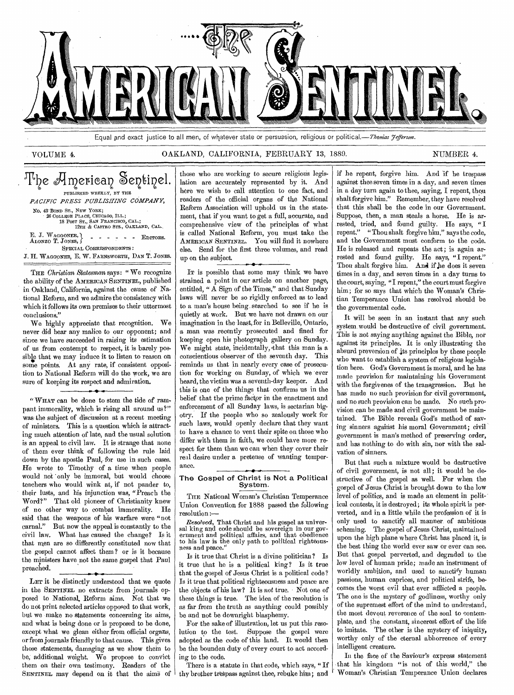

Equal and exact justice to all men, of whatever state or persuasion, religious or political.—*Thonias Fefferson*.

# VOLUME 4. CAKLAND, CALIFORNIA, FEBRUARY 13, 1889. NUMBER 4.

# The American Sentinel. PUBLISHED WEEKLY, BY THE *PACIFIC PRESS PUBLISHING COMPANY,*  No. 43 BOND ST., NEW YORK;<br>
26 COLLEGE PLACE, CHICAGO, ILL.;<br>
18 POST ST., SAN FRANCISCO, CAL.;<br>
12TH & CASTRO STS., OAKLAND, CAL. E. J. Waggoner,<br>Alonzo T. Jones, SPECIAL CORRESPONDENTS: J. H. WAGGONER, E. W. FARNSWORTH, DAN T. JONES.  $\blacksquare$   $\blacksquare$   $\blacksquare$   $\blacksquare$   $\blacksquare$   $\blacksquare$   $\blacksquare$   $\blacksquare$   $\blacksquare$   $\blacksquare$   $\blacksquare$   $\blacksquare$   $\blacksquare$   $\blacksquare$   $\blacksquare$   $\blacksquare$   $\blacksquare$   $\blacksquare$   $\blacksquare$   $\blacksquare$   $\blacksquare$   $\blacksquare$   $\blacksquare$   $\blacksquare$   $\blacksquare$   $\blacksquare$   $\blacksquare$   $\blacksquare$   $\blacksquare$   $\blacksquare$   $\blacksquare$   $\blacks$

THE *Christian Statesman says: "* We recognize the ability of the AMERICAN SENTINEL, published in Oakland, California, against the cause of National Reform, and we admire the consistency with which it follows its own premises to their uttermost conclusions."

We highly appreciate that recognition. We never did bear any malice to our opponent; and since we have succeeded in raising its estimation of us from contempt to respect, it is barely possible that we may induce it to listen to reason on some points. At any rate, if consistent opposition to National Reform will do the work, we are sure of keeping its respect and admiration.

" WHAT can be done to stem the tide of rampant immorality, which is rising all around us?" was the subject of discussion at a recent meeting of ministers. This is a question which is attracting much attention of late, and the usual solution is an appeal to civil law. It is strange that none of them ever think of following the rule laid down by the apostle Paul, for use in such cases. He wrote to Timothy of a time when people would not only be immoral, but would choose teachers who would wink at, if not pander to, their lusts, and his injunction was, "Preach the Word?" That old pioneer of Christianity knew of no other way to combat immorality. He said that the weapons of his warfare were "not carnal." But now the appeal is constantly to the civil law. What has caused the change? Is it that men are so differently constituted now that the gospel cannot affect them ? or is it because the ministers have not the same gospel that Paul preached.

LET it be distinctly understood that we quote in the SENTINEL no extracts from journals opposed to National. Reform aims. Not that we do not print selected articles opposed to that work, but we make no statements concerning its aims, and what is being done or is proposed to be done, except what we glean either from official organs, or from journals friendly to that cause. This gives those statements, damaging as we show them to be, additional weight. We propose to convict them on their own testimony. Readers of the SENTINEL may depend on it that the aims of

those who are working to secure religious legislation are accurately represented by it. And here we wish to call attention to one fact, and readers of the official organs of the National Reform Association will uphold us in the statement, that if you want to get a full, accurate, and comprehensive view of the principles of what is called National Reform, you must take the AMERICAN SENTINEL. YOU will find it nowhere else. Send for the first three volumes, and read up on the subject.

IT is possible that some may think we have strained a point in our article on another page, entitled, " A Sign of the Times," and that Sunday laws will never be so rigidly enforced as to lead to a man's house being, searched to see if he is quietly at work. But we have not drawn on our imagination in the least, for in Belleville, Ontario, a man was recently prosecuted and fined for keeping open his photograph gallery on Sunday. We might state, incidentally,•that this man is a conscientious observer of the seventh day. This reminds us that in nearly every case of prosecution for working on Sunday, of which we ever heard, the victim was a seventh-day keeper. And this is one of the things that confirms us in the belief that the prime factor in the enactment and enforcement of all Sunday laws, is sectarian bigotry. If the people who so zealously work for such laws, would openly declare that they want to have a chance to vent their spite on those who differ with them in faith, we could have more respect for them than we can when they cover their real desire under a pretense of wanting temperance.

# The Gospel of Christ is Not a Political System.

THE National Woman's Christian Temperance Union Convention for 1888 passed the following resolution *:—* 

*Resolved,* That Christ and his gospel as universal king and code should be sovereign in our government and political affairs, and that obedience to his law is the only path to political righteousness and peace."

Is it true that Christ is a divine politician? Is it true that he is a political king? Is it true that the gospel of Jesus Christ is a political code ? Is it true that political righteousness and peace are the objects of his law? It is *not* true. Not one of these things is true. The idea of the resolution is as far from the truth as anything could possibly be and not be downright blasphemy.

For the sake of illustration, let us put this resolution to the test. Suppose the gospel were adopted as the code of this land. It would then be the bounden duty of every court to act according to the code.

There is a statute in that code, which says, " If thy brother trespass against thee, rebuke him; and

if he repent, forgive him. And 'if he trespass against thee seven times in a day, and seven times in a day turn again to thee, saying, I repent, thou shalt forgive him." Remember, they have resolved that this shall be the code in our Government. Suppose, then, a man steals a horse. He is arrested, tried, and found guilty. He says, "I repent." "Thou shalt forgive him," says the code, and the Government must conform to the code. He is released and repeats the act ; is again arrested and found guilty. He says, "I repent." Thou shalt *forgive* him. And if he does it seven times in a day, and seven times in a day turns to the court, saying, "I repent," the court must forgive him; for so says that which the Woman's Christian Temperance Union has resolved should be the governmental code.

It will be seen in an instant that any such system would be destructive of civil government. This is not saying anything against the Bible, nor against its principles. It is only illustrating the absurd preversion of its principles by these people who want to establish a system of religious legislation here. God's Government is moral, and he has made provision for maintaining his Government with the forgivenes of the transgression. But he has made no such provision for civil government, and no such provision can be made. No such provision can be made and civil government be maintained. The Bible reveals God's method of saving sinners against his moral Government; civil government is man's method of preserving order, and has nothing to do with sin, nor with the salvation of sinners.

But that such a mixture would be destructive of civil government, is not all; it would be destructive of the gospel as well. For when the gospel of Jesus Christ is brought down to the low level of politics, and is made an element in political contests, it is destroyed; its whole spirit is perverted, and in a little while the profession of it is only used to sanctify all manner of ambitious scheming. The gospel of Jesus Christ, maintained upon the high plane where Christ has placed it, is the best thing the world ever saw or ever can see. But that gospel perverted, and degraded to the low level of human pride; made an instrument of worldly ambition, and used to sanctify human passions, human caprices, and political strife, becomes the worst evil that ever afflicted a people. The one is the mystery of godliness, worthy only of the supremest effort of the mind to understand, the most devout reverence of the soul to contemplate, and the constant, sincerest effort of the life to imitate. The other is the mystery of iniquity, worthy only of the eternal abhorrence of every intelligent creature.

In the face of the Saviour's express statement that his kingdom "is not of this world," the Woman's Christian Temperance Union declares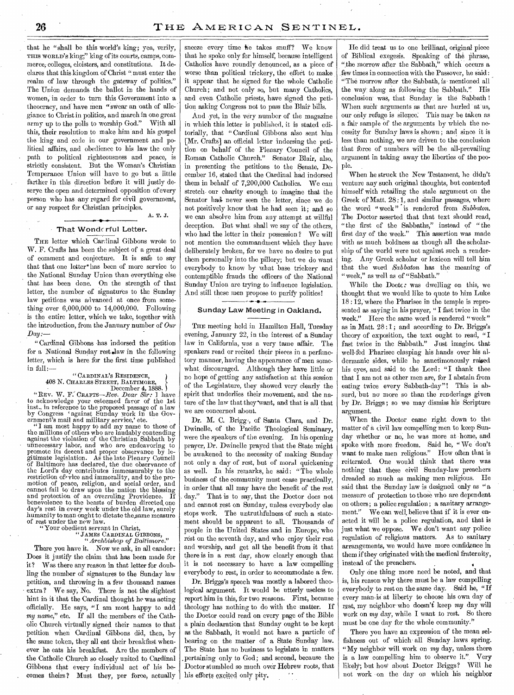that he "shall be this world's king; yea, verily, THIS WORLD'S king;" king of its courts, camps, commerce; colleges, cloisters, and constitutions. It declares that this kingdom of Christ "must enter the realm of law through the gateway of politics." The Union demands the ballot in the hands of women; in order to turn this Government into a theocracy, and have men "swear an oath of allegiance to Christ in politics, and march in one great army up to the polls to worship God." With all this, their resolution to make him and his gospel the king and code in our government and political affairs, and obedience to his law the only path to political righteousness and peace, is strictly consistent. But the Woman's Christian Temperance Union will have to go but a little farther in this direction before it will justly deserye the open and determined opposition of every person who has any regard for civil government, or any respect for Christian principles. A. T. J.

# That Wonderful Letter.

THE letter which Cardinal Gibbons wrote to W. F. Crafts has been the subject of a great deal of comment and conjecture. It is safe to say that that one letter' has been of more service to the National Sunday Union than everything else that has been done. On the strength of that letter, the number of signatures to the Sunday law petitions was advanced at once from something over 6,000,000 to 14,000,000. Following is the entire letter, which we take, together with the introduction, from the January number of *Our*   $Day:$ 

*"*Cardinal Gibbons has indorsed the petition for a National Sunday rest slaw in the following letter, which is here for the first time published in full:—

# "CARDINAL'S RESIDENCE,

408 N. CHARLES STREET, BALTIMORE, December 4, 1888. "REV. W. F. CRAFTS—Rev. *Dear Sir:* I have to acknowledge your esteemed favor of the 1st inst., in reference to the proposed passage of a law<br>by Congress 'against Sunday work in the Government's mail and military service,' etc.

" I am most happy to add my name to those of the millions of others who are laudably contending against the violation of the Christian Sabbath by unnecessary labor, and who are endeavoring to promote its decent and proper observance by legitimate legislation. As the late Plenary Council of Baltimore has declared, the due observance of the Lord's day. contributes immeasurably to the restriction of vice and immorality, and to the promotion of peace, religion, and social order, and cannot fail to draw upon the nation the blessing and protection of an overruling Providence. If benevolence to the beasts of burden directed, one day's rest in every week under the old law, surely humanity to man ought to dictate the,same measure of rest under the new law.

"Your obedient servant in Christ, " JAMES CARDINAL GIBBONS, *"Archbishop* of *Baltimore."*  There you have it. Now we ask, in all candor: Does it justify the claim that has been made for it? Was there any reason in that letter for doubling the number of signatures to the Sunday law petition, and throwing in a few thousand names extra? We say, No. There is not the slightest hint in it that the Cardinal thought he was acting officially. He says, "I am most happy to add my name," etc. If all the members of the Catholic Church virtually signed their names to that petition when Cardinal Gibbons did, then, by the same token, they all eat their breakfast whenever he eats his breakfast. Are the members of the Catholic Church so closely united to Cardinal Gibbons that every individual act of his becomes theirs ? Must they, per force, actually sneeze every time he takes snuff? We know that he spoke only for himself, because intelligent Catholics have roundly denounced, as a piece of worse than political trickery, the effort to make it appear that, he signed for the whole Catholic Church; and not only so, but many Catholics, and even. Catholic priests, have signed the petition asking Congress not to pass the Blair bills.

And yet, in the very number of the magazine in which this letter is published, it is stated editorially, that "Cardinal Gibbons also sent him [Mr. Crafts] an official letter indorsing the petition on behalf of the Plenary Council of the Roman Catholic Church." Senator Blair, also, in presenting the petitions to the Senate, December 16, stated that the Cardinal had indorsed them in behalf of 7,200,000 Catholics. We can stretch. our charity enough to imagine that the Senator had never seen the letter, since we do not positively know that he had seen it; and so we can absolve him from any attempt at willful deception. But what shall we say of the others, who had the letter in their possession ? We will not mention the commandment which they have deliberately broken, for we have no desire to put them personally into the pillory; but we do want everybody to know by what base trickery and contemptible frauds the officers of the National Sunday Union are trying to influence legislation. And still these men propose to purify politics!

# Sunday Law Meeting in Oakland.

THE meeting held in Hamilton Hall, Tuesday evening, January 22, in the interest of a Sunday law in California, was a very tame affair. The speakers read or recited their pieces in a perfunctory manner, having the appearance of men somewhat, discouraged. Although they have little or no hope of getting any satisfaction at this session of the Legislature, they showed very clearly the spirit that underlies their movement, and the nature of the law that they want, and that is all that we are concerned about.

Dr. M. C. Briggs, of Santa Clara, and Dr. Dwindle, of the Pacific Theological Seminary, were the speakers of the evening. In his opening prayer, Dr. Dwindle prayed that the State might be awakened to the necessity of making Sunday not only a day of rest, but of moral quickening as well. In his remarks, he said: "The whole business of the community must cease practically, in order that all may have the benefit of the rest . day." That is to say, that the Doctor does not and cannot rest on Sunday, unless everybody else stops work. The untruthfulness of such a statement should be apparent to all. Thousands of people in the United States and in Europe; who rest on the seventh day, and who enjoy their rest and worship, and get all the benefit from it that there is in a rest day, show clearly enough that it is not necessary to have a law compelling everybody to rest, in order to accommodate a few.

Dr. Briggs's speech was mostly a labored theological argument. It would be utterly useless to report him in this, for two reasons. First, because theology has nothing to do with the matter. If the Doctor could read on every page of the Bible a plain declaration that Sunday ought to be kept as the Sabbath, it would not have a particle of bearing on the matter of a State Sunday law. The State has no business to legislate in matters pertaining only to God; and second, because the Doctor stumbled so much over Hebrew roots, that his efforts excited only pity,

He did treat us to one brilliant, original piece of Biblical exegesis. Speaking of the phrase, "the morrow after the Sabbath," which occurs a few times in connection with the Passover, he said : "The morrow after the Sabbath, is- mentioned all the way: along as following the Sabbath." His conclusion was, that Sunday. is the Sabbath ! When such arguments as that are hurled at us, our only refuge is silence: This may be taken as a fair sample of the arguments by which the necessity for Sunday laws is shown ; and since it is less than nothing, we are driven to the conclusion that force of numbers will be the all-prevailing argument in taking away the liberties of the people.

When he struck the New Testament, he didn't venture any such original thoughts, but contented himself with retailing the stale argument on the Greek of Matt. 28: 1, and similar passages, where the word " week " is rendered from *Sabbaton.*  The Doctor asserted that that text should read, "the first of the Sabbaths," instead of "the first day of the week." This assertion was made with as much boldness as though all the scholarship of the world were not against such a rendering. Any Greek scholar or lexicon will tell him that the word *Sabbaton* has the meaning of " week," as well as of "Sabbath."

While the Doctc: was dwelling on this, we thought that we would like to quote to him Luke  $18:12$ , where the Pharisee in the temple is represented as saying in his prayer, " I fast twice in the week." Here the same word is rendered "week" as in Matt.  $28:1$ ; and according to Dr. Briggs's theory of exposition, the text ought to read, "I fast twice in the Sabbath." Just imagine that well-fed Pharisee clasping his hands over his aldermanic sides, while he sanctimonously raised his eyes, and said to the Lord: "I thank thee that I am not as other men are, for I abstain from eating twice every Sabbath-day"! This is absurd, but no more so than the renderings given by Dr. Briggs; so we may dismiss his Scripture argument.

When the Doctor came right down to the matter of a civil law compelling men to keep Sunday whether or no, he was more at home, and spoke with more freedom. Said he, " We don't want to make men religious." How often that is reiterated. One would think that there was nothing that these civil Sunday-law preachers dreaded so much as making men religious. He said that the Sunday law is designed only as "a measure of protection to those who are dependent on others; a police regulation ; a sanitary arrangement." We can well, believe that if it is ever enacted it will be a police regulation, and that is just what we oppose. We don't want any police regulation of religious matters. As to sanitary arrangements, we would have more confidence in them if they originated with the medical fraternity, instead of the preachers.

Only One thing more need be noted, and that is, his reason why there must be a law compelling everybody to rest on the same day. Said he, "If every man• is at liberty to choose his own day of rest, my neighbor who doesn't keep my day will work on my day, while I want to rest. So there must be one day for the whole community."

There you have an expression of the mean selfishness out of which. all Sunday laws spring. "My neighbor will work on  $my$  day, unless there<br>is a law compelling him to observe it." Verv is a law compelling him to observe it." likely; but how about Doctor Briggs? Will he not work on the day on which his neighbor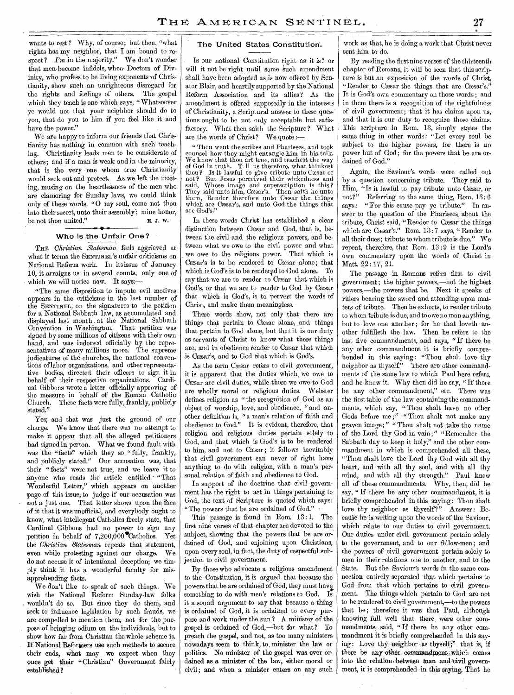wants to rest? Why, of course; but then, "what rights has my neighbor, that I am bound to respect? *I'm* in the majority." We don't wonder that men become infidels, when Doctors of Divinity, who profess to be living exponents of Christianity, show such an unrighteous disregard for the rights and feelings of others, The gospel which they teach is one which says, " Whatsoever ye would not that your neighbor should do to you, that do you to him if you feel like it and have the power."

We are happy to inform our friends that Christianity has nothing in common with such teaching. Christianity leads men to be considerate of others; and if a man is weak and in the minority, that is the very one whom true Christianity would seek out and protect. As we left the meeting, musing on the heartleSsness of the men who are clamoring for Sunday laws, we could think only of these words, "0 my soul, come not thou into their secret, unto their assembly; mine honor, be not thou united." E. J. W.

# Who is the Unfair One?

THE *Christian Statesman* feels aggrieved at what it terms the SENTINEL'S unfair criticisms on National Reform work. In its issue of January 10, it arraigns us in several counts, only one of which we will notice now. It says:-

"The same disposition to impute evil motives appears in the criticisms in the last number of the SENTINEL, on the signatures to the petition for a National Sabbath law, as accumulated and displayed last month at the National Sabbath Convention in Washington. That petition was signed by some millions of citizens with their own hand, and was indorsed officially by the representatives of many millions more. The supreme judicatures of the churches, the national conventions of labor organizations, and other representative bodies, directed their officers to sign it in behalf of their respective organizations. Cardinal Gibbons wrote a letter officially approving of the measure in behalf of the Roman Catholic<br>Church. These facts were fully, frankly, publicly These facts were fully, frankly, publicly stated."

Yes; and that was just the ground of our charge. We know that there was no attempt to make it appear that all the alleged petitioners had signed in person. What we found fault with was the "facts" which they so "fully, frankly, and publicly stated." Our accusation was, that their "facts" were not true, and we leave it to anyone who reads the article entitled · "That Wonderful Letter," which appears on another page of this issue, to judge if our accusation was not a just one. That letter shows upon the face of it that it was unofficial, and everybody ought to know, what intellegent Catholics freely state, that Cardinal Gibbons had no power to sign any petition in behalf of  $7,200,000$  Catholics. Yet the *Christian Statesman* repeats that statement, even while protesting against our charge. We do not accuse it of intentional deception; we simply think it has a wonderful faculty for misapprehending facts.

We don't like to speak of such things.. We wish the National Reform Sunday-law folks wouldn't do so. But since they do them, and seek to influence legislation by such frauds, we are compelled to mention them, not for the purpose of bringing odium on the individuals, but to show- how far from Christian the whole scheme is. If National Reformers use such methods to secure their ends, what may we expect when they once get their "Christian" Government fairly established?

# The United States Constitution.

Is our national Constitution right as it is? or will it not be right until some such amendment shall have been adopted as is now offered by Senator Blair, and heartily supported by the National Reform Association and its allies? As the amendment is offered supposedly in the interests of Christianity, a Scriptural answer to these questions ought to be not only acceptable but satisfactory. What then saith the Scripture? What are the words of Christ? We quote :—

" Then went the scribes and Pharisees, and took counsel how they might entangle him in his talk. We know that thou art true, and teachest the way of God in truth. T.11 us therefore, what thinkest thou? Is it lawful to give tribute unto Caesar or not? But Jesus perceived their wickedness and said, Whose image and superscription is this ? They said unto him, Cæsar's. Then saith he unto them, Render therefore unto Cæsar the things which are Cæsar's, and unto God the things that are God's."

In these words Christ has established a clear distinction between Cæsar and God, that is, between the civil and the religious powers, and between what we owe to the civil power and what we owe to the religious power. That which is Cæsar's is to be rendered to Cæsar alone; that which is God's is to be rendered to God alone. To say that we are to render to Cæsar that which is God's, or that we are to render to God by Cesar that which is God's, is to pervert the words of Christ, and make them meaningless.

These words show, not only that there are things that pertain to Caesar alone, and things that pertain to God alone, but that it is our duty as servants of Christ to know what these things are, and in obedience render to Cæsar that which is Caesar's, and to God that which is God's.

As the term Cæsar refers to civil government, it is apparent that the duties which, we owe to Caesar are civil duties, while those we owe to God are wholly moral or religious duties. Webster defines religion as " the recognition of God as an object of worship, love, and obedience, " and another definition is, "a man's relation of faith and obedience to God." It is evident, therefore, that religion and religious duties pertain solely to God, and that which is God's is to be rendered to him, and not to Caesar; it follows inevitably that civil government can never of right have anything to do with religion, with a man's personal relation of faith and obedience to God.

In support of the doctrine that civil government has the right to act in things pertaining to God, the text of Scripture is quoted which says: "The powers that be are ordained of God."

This passage is found in Rom. 13:1. The first nine verses of that chapter are devoted to the subject, showing that the powers that be are ordained of God, and enjoining upon Christians, upon every soul, in fact, the duty of respectful subjection to civil government.

By those who advocate a religious amendment to the Constitution, it is argued that because the powers that be are ordained of God, they must have something to do with men's relations to God. Is it a sound argument to say that because a thing is ordained of God, it is ordained to every purpose and work under the sun ? A minister of the gospel is ordained of God,—but for what? To preach the gospel, and not, as too many ministers nowadays seem to think, to. minister the law or politics. No minister of the gospel was ever ordained as a minister of the law, either moral or civil; and when a minister enters on any such work as that, he is doing a work that Christ never sent him to do.

By reading the first nine verses of the thirteenth chapter of Romans, it will be seen that this scripture is but an exposition of the words of Christ, "Render to Caesar the things that are Caesar's." It is God's own commentary on those words ; and in them there is a recognition of the rightfulness of civil government; that it has claims upon us, and that it is our duty to recognize those claims. This scripture in Rom. 13, simply states the same thing in other words: "Let every soul be subject to the higher powers, for there is no power but of God; for the powers that be are ordained of God."

Again, the Saviour's words were called out by a question concerning tribute. They said to Him, "Is it lawful to pay tribute unto Caesar, or not?" Referring to the same thing, Rom. 13: 6 says: " For this cause pay ye tribute." In answer to the question of the Pharisees about the tribute, Christ said, "Render to Cæsar the things which are Cæsar's." Rom. 13:7 says, "Render to all their dues; tribute to whom tribute is due." We repeat, therefore, that Rom. 13:9 is the Lord's own commentary upon the words of Christ in Matt. 22:17, 21.

The passage in Romans refers first to civil government; the higher powers,—not the highest powers,—the powers that be. Next it speaks of rulers bearing the sword and attending upon matters of tribute. Then he exhorts, to render tribute to whom tribute is due, and to owe no man anything, but to love one another; for he that loveth another fulfilleth the law. Then he refers to the last five commandments, and says, "If there be any other commandment it is briefly comprehended in this saying: "Thou shalt love thy neighbor as thyself." There are other commandments of the same law to which Paul here refers, and he knew it. Why then did he say, " If there be any other commandment," etc. There was the first table of the law containing the commandments, which say, "Thou shalt have no other Gods before me ;" " Thou shalt not make any graven image;" "Thou shalt not take the name of the Lord thy God in vain;" "Remember the Sabbath day to keep it holy," and the other commandment in which is comprehended all these, "Thou shalt love the Lord thy God with all thy heart, and with all thy soul, and with all thy mind, and with all thy strength." Paul knew all of these commandments. Why, then, did he say, " If there be any other commandment, it is briefly comprehended in this saying: Thou shalt love thy neighbor as thyself'?" Answer: Because he is writing upon the words of the Saviour, which relate to our duties to civil government. Our duties under civil government pertain solely to the government, and to our fellow-men; and the powers of civil government pertain solely to men in their relations one to another, and to the State. But the Saviour's words in the same connection entirely separated that which pertains to God from that which pertains to civil government. The things which pertain to God are not to be rendered-to civil government,—to the powers that be; therefore it was that Paul, although knowing full well that there, were other commandments, said, "If there be any other commandment it is briefly- comprehended in this saying: Love thy neighbor as thyself;" that is, if there be any other commandment, which comes into the relation between man and civil government, it is comprehended- in this saying, That he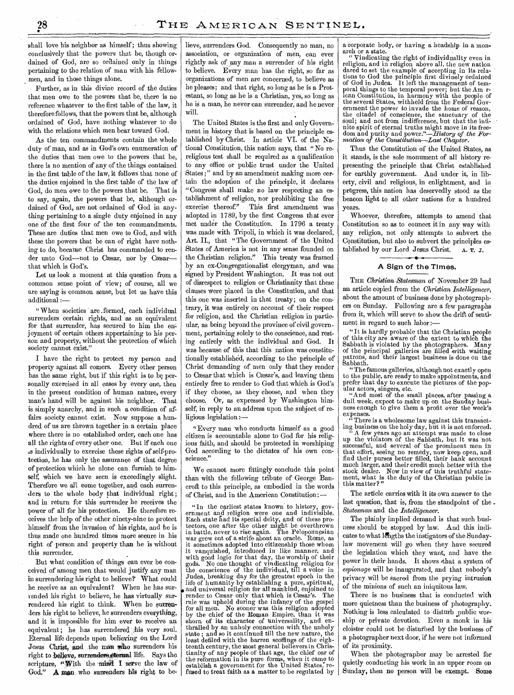shall love his neighbor as himself ; thus showing conclusively that the powers that be, though ordained of God, are so ordained only in things pertaining to the relation of man with his fellowmen, and in those things alone.

Further, as in this divine record of the duties that men owe to the powers that be, there is no reference whatever to the first table of the law, it therefore follows, that the powers that be, although ordained of God, have nothing whatever to do with the relations which men bear toward God.

As the ten commandments contain the whole duty of man, and as in God's own enumeration of the duties that men owe to the powers that be, there is no mention of any of the things contained in the first table of the law, it follows that none of the duties enjoined in the first table of the law of God, do men owe to the powers that be. That is to say, again, the powers that be, although ordained of God, are not ordained of God in anything pertaining to a single duty enjoined in any one of the first four of the ten commandments. These are duties that men owe to God, and with these the powers that be can of right have nothing to do, because Christ has commanded to render unto God-not to Cæsar, nor by Cæsarthat which is God's.

Let us look a moment at this question from a common sense point of view; of course, all we are saying is common sense, but let us have this additional :—

"When societies are formed, each individual surrenders certain rights, and as an equivalent for that surrender, has secured to him the enjoynaent of certain others appertaining to his person and property, without the protection of which society cannot exist."

I have the right to protect my person and property against all comers. Every other person has the same right, but if this right is to be personally exercised in all cases by every one, then in the present condition of human nature, every man's hand will be against his neighbor. That is simply anarchy, and in such a condition of affairs society cannot exist. Now suppose a hundred of us are thrown together in a certain place where there is no established order, each one has all the rights of every other one. But if each one a individually to exercise these rights of self-protection, he has only the assurance of that degree of protection which he alone can furnish to himself, which we have seen is exceedingly slight. Therefore we all come together, and each surrenders to the whole body that individual right; and in return for this surrender he receives the power of all for his protection. He therefore receives the help of the other ninety-nine to protect himself from the invasion of his rights, and he is thus made one hundred times more secure in his right of person and property than he is without this surrender.

But what condition of things can ever be conceived of among men that would justify any man in surrendering his right to believe? What could he receive as an equivalent? When he has surrended his right to believe, he has virtually surrendered his right to think. When he surrenders his right to believe, he surrenders everything, and it is impossible for him ever to receive an equivalent; he has surrendered his very soul. Eternal life depends upon believing on the Lord Jesus Christ, and the man who surrenders his right to believe, surrenders eternal life. Says the scripture, "With the mind I serve the law of God," A man who surrenders his right to believe, surrenders God. Consequently no man, no association, or organization of men, can ever rightly ask of any man a surrender of his right to believe. Every man has the right, so far as organizations of men are concerned, to believe as he pleases; and that right, so long as he is a Protestant, so long as he is a Christian, yes, so long as he is a man, he never can surrender, and he never will.

The United States is the first and only Government in history that is based on the principle established by Christ. In article VI. of the National Constitution, this nation says, that "No rereligious test shall be required as a qualification to any office or public trust under the United States;" and by an amendment making more certain the adoption of the principle, it declares "Congress shall make no law respecting an establishment of religion, nor prohibiting the free exercise thereof." This first amendment was adopted in 1789, by the first Congress that ever met under the Constitution. In 1796 a treaty was made with Tripoli, in which it was declared, Art. II., that "The Government of the United States of America is not in any sense founded on the Christian religion." This treaty was framed by an ex-Congregationalist clergyman, and was signed by President Washington. It was not out of disrespect to religion or Christianity that these clauses were placed in the Constitution, and that this one was inserted in that treaty; on the contrary, it was entirely on account of their respect for religion, and the Christian religion in particular, as being beyond the province of civil government, pertaining solely to the conscience, and resting entirely with the individual and God. It was because of this that this nation was constitutionally established, according to the principle of Christ demanding of men only that they render to Cæsar that which is Cæsar's, and leaving them entirely free to render to God that which is God's if they choose, as they choose, and when they choose. Or, as expressed by Washington himself, in reply to an address upon the subject of religious legislation :—

"Every man who conducts himself as a good citizen is accountable alone to God for his religious faith, and should be protected in worshiping God according to the dictates of his own conscience.'

We cannot more fittingly conclude this point than with the following tribute of George Bancroft to this principle, as embodied in the words of Christ, and in the American Constitution:—

" In the earliest states known to history, government and religion were one and indivisible. Each state Rad its special deity, and of these protectors, one after the other might be overthrown in battle, never to rise again. The Peloponnesian war grew out of a strife about an oracle. Rome, as it sometimes adopted into citizenship those whom it vanquished, introduced in like manner, and with good logic for that day, the worship of their gods. No one thought of vindicating religion for the conscience of the individual, till a voice in Judea, breaking day for the greatest epoch in the life of humanity by establishing a pure, spiritual, and universal religion for all mankind, enjoined to render to Cæsar only that which is Cæsar's. The rule was upheld during the infancy of the gospel for all men. No sooner was this religion adopted by the chief of the Roman Empire, than it was shorn of its character of universality, and enthralled by an unholy connection with the unholy state; and so it continued till the new nature, the least defiled with the barren scoffings of the eighteenth century, the most general believers in Chris-tianity of any people of that age, the chief oar of the reformation in its pure forms, when it came to establish a government for the United States, refused to treat faith as a matter to be regulated by

a corporate body, or having a headship in a monarch or a state.

" Vindicating the right of individuality even in religion, and in religion above all, the new nation dared to set the example of accepting in its relations to God the principle first divinely ordained of God in Judea. It left the management of temporal things to the temporal power; but the Am rican Constitution, in harmony with the people of the several States, withheld from the Federal Government the power to invade the home of reason, the citadel of conscience, the sanctuary of the soul; and not from indifference, but that the infinite spirit of eternal truths might move in its freedom and purity and *power."—History of the Formation of the Constitution—Last Chapter.* 

Thus the Constitution of the United States, as it stands, is the sole monument of all history representing the principle that Christ established for earthly government. And under it, in liberty, civil and religious, in enlightment, and in progress, this nation has deservedly stood as the beacon light to all other nations for a hundred years.

Whoever, therefore, attempts to amend that Constitution so as to connect it in any way with any religion, not only attempts to subvert the Constitution, but also to subvert the principles established by our Lord Jesus Christ. A. T. J.

### A Sign of the Times.

THE *Christian Statesman* of November 29 had an article copied from the *Christian Intelligencer,*  about the amount of business done by photographers on Sunday. Following are a few paragraphs from it, which will serve to show the drift of sentiment in regard to such labor :-

"It is hardly probable that the Christian people of this city are aware of the extent to which the Sabbath is violated by the photographers. Many of the principal galleries are filled with waiting patrons, and their largest business is done on the Sabbath.

" The famous galleries, although not exactly open to the public, are ready to make appointments, and prefer that day to execute the pictures of the popular actors, singers, etc.

"And most of the small places, after passing a dull week, expect to make up on the Sunday business enough to give them a profit over the week's expenses,

"There is a wholesome law against this transacting business on the holy day, but it is not enforced.

A few years ago an attempt was made to close up the violators of the Sabbath, but it was not up the violators of the canonical men in<br>successful, and several of the prominent men in that effort, seeing no remedy, now keep open, and find their purses better filled, their bank account much larger, and their credit much better with the stock dealer. Now in view of this truthful statement, what is the duty of the Christian public in this matter?"

The article carries with it its own answer to the last question, that is, from the standpoint of the *- Statesman* and the *Intelligencer.* 

The plainly implied demand is that such business should be stopped by law. And this indicates to what lengths the instigators of the Sundaylaw movement will go when they have secured the legislation which they want, and have the power in their hands. It shows that a system of *espionage* will be inaugurated, and that nobody's privacy will be Sacred from the prying intrusion of the minions of such an iniquitous law.

There is no business that is conducted with more quietness than the business of photography. Nothing is less calculated to disturb \_public worship or private devotion. EVen a monk in his cloister could not be disturbed by the business of a photographer next door, if he were not informed of its proximity.

When the photographer may be arrested for quietly conducting his work in an upper room on Sunday, then no person will be exempt. Some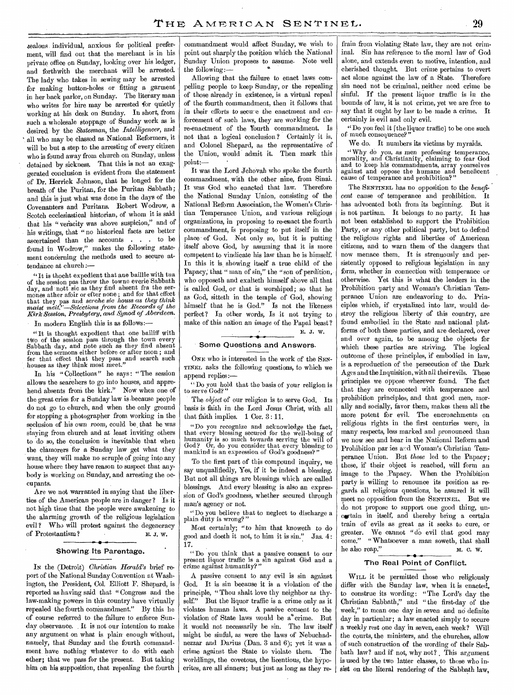zealous individual, anxious for political preferment, will find out that the merchant is in his private office on Sunday, looking over his ledger, and forthwith the merchant will be arrested. The lady who takes in sewing may be arrested for making button-holes or fitting a garment in her back parlor, on Sunday. The literary man who writes for hire may be arrested for quietly working at his desk on Sunday. In short, from such a wholesale stoppage of Sunday work as is desired by the *Statesman,* the *Intelligencer,* and all who may be classed as National Reformers, it will be but a step to the arresting of every citizen who is found away from church on Sunday, unless detained by sickness. That this is not an exaggerated conclusion is evident from the statement of Dr. Herrick Johnson, that he longed for the breath of the Puritan, for the Puritan Sabbath; and this is just what was done in the days of the Covenanters and Puritans. Robert Wodrow, a Scotch ecclesiastical historian, of whom it is said that his "veracity was above suspicion," and of his writings, that " no historical facts are better ascertained than the accounts . . . to be found in Wodrow," makes the following statement concerning the methods used to secure attendance at church:—

" It is thocht expedient that ane baillie with tua of the session pas throw the towne everie Sabbath day, and nott sic as they find absent fra the sermones ather afoir or efter none ; and for that effect that they pas and *serehe sic houss as they think maist meit."—Selections from the Records of the Kirk Session, Presbytery, and Synod of Aberdeen.* 

In modern English this is as follows:

"It is thought expedient that one bailiff with two of the session pass through the town every Sabbath day, and note such as they find absent from the sermons either before or after noon ; and for that effect that they pass and search such houses as they think most meet."

In his " Collections " he says: " The session allows the searchers to go into houses, and apprehend absents from the kirk." Now when one of the great cries for a Sunday law is .because people do not go to church, and when the only ground for stopping a photographer from working in the seclusion of his own room, could be that he *was*  staying from church and at least inviting others to do so, the conclusion is inevitable that when the clamorers for a Sunday law get what they want, they will make no scruple of going into any house where they have reason to suspect that anybody is working on Sunday, and arresting the occupants.

Are we not warranted in saying that the liberties of the American people are in danger ? Is it not high time that the people were awakening to the alarming growth of the religious legislation evil? Who will protest against the degeneracy of Protestantism ? E. J. w.

### Showing. Its Parentage.

IN the (Detroit) *Christian Herald's* brief report of the National Sunday Convention at Washington, the President, Col. Elliott P. Shepard, is reported as having said that " Congress and the law-making powers in this country have virtually repealed the fourth commandment" By this he of course referred to the failure to enforce Sunday observance. . It is not our intention to make any argument on what is plain enough without, namely, that Sunday and the fourth commandment, have nothing whatever to do with each other; that we pass for the present. But taking **him on his supposition, that repealing the fourth** 

commandment would affect Sunday, we wish to point out sharply the position which the National Sunday Union proposes to assume. Note well the following:—

Allowing that the failure to enact laws compelling people to keep Sunday, or the repealing of those already in existence, is a virtual repeal of the fourth commandment, then it follows that in their efforts to secure the enactment and enforcement of such laws, they are working for the re-enactment of the fourth commandment. Is not that a logical conclusion ? Certainly it is. and Colonel Shepard, as the representative of the Union, would admit it. Then mark this point:—

It was the Lord Jehovah who spoke the fourth commandment, with the other nine, from Sinai. It was God who enacted that law. Therefore the National Sunday Union, consisting of the National Reform Association, the Women's Christian Temperance Union, and various religious organizations, in proposing to re-enact the fourth commandment, is proposing to put itself in the place of God. Not only so, but it is putting itself above God, by assuming that it is more competent to vindicate his law than he is himself. In this it is showing itself a true child of the Papacy; that " man of sin," the "son of perdition, who opposeth and exalteth himself above all that is called God, or that is worshiped; so that he as God, sitteth in the temple of God, showing himself that he is God." Is not the likeness perfect? In other words, Is it not trying to make of this nation an *image* of the Papal beast? E. J. W.

# Some Questions and Answers.

ONE who is interested in the work of the SEN-TINEL asks the following questions, to which we

append replies:— " Do you hold that the basis of your religion is to serve God?"

The *object* of our religion is to serve God. Its basis is faith in the Lord Jesus Christ, with all that faith implies. **1** Cor. 3 : 11.

"Do you recognize and acknowledge the fact, that every blessing secured for the well-being of humanity is so much towards serving the will of God ? Or, do you consider that every blessing to mankind is an expression of God's goodness?"

To the first part of this compound inquiry, we say unqualifiedly, Yes, if it be indeed a blessing. But not all things are blessings which are called blessings. And every blessing is also an expression of God's goodness, whether secured through man's agency or not.

"Do you believe that to neglect to discharge a plain duty is wrong?"

Most certainly; "to him that knoweth to do good and doeth it not, to him it is sin." Jas. 4: 17.

" Do you think that a passive consent to our present liquor traffic is a sin against G'od and a crime against humanity?"

A passive consent to any evil is sin against God. It is sin because it is a violation of the principle, " Thou shalt love thy neighbor as thyself." But the liquor traffic is a crime only as it violates human laws. A passive consent to the violation of State laws would be a<sup>\*</sup>crime. But it would not necessarily be sin. The law itself might be sinful, as were the laws of Nebuchadnezzar and Darius (Dan. 3 and 6); yet it was a crime against the State to violate them. The worldlings, the covetous, the licentious, the hypocrites, are **all** sinners; but just as long as they refrain from violating State law, they are not criminal. Sin has reference to the moral law of God alone, and extends even to motive, intention, and cherished thought. But crime pertains to overt act alone against the law of a State. Therefore sin need not be criminal, neither need crime be sinful. If the present liquor traffic is in the bounds of law, it is not crime, yet we are free to say that it ought by law to be made a crime. It certainly is evil and only evil.

"Do you feel it [the liquor traffic] to be one such of much consequence?

We do. It numbers its victims by myraids.

"Why do you, as men professing temperance, morality, and Christianity, claiming to fear God and to keep his commandments, array yourselves against and oppose the humane and beneficent cause of temperance and prohibition?

The SENTINEL has no opposition to the *beneficent* cause of temperance and prohibition. It has advocated both from its beginning. But it is not partisan. It belongs to no party. It has not been established to support the Prohibition Party, or any other political party, but to defend the religious rights and liberties of American citizens, and to warn them of the dangers that now menace them. It is strenuously and persistently opposed to religious legislation in any form, whether in connection with temperance or otherwise. Yet this is what the leaders in the Prohibition party and Woman's Christian Temperance Union are endeavoring to do. Principles which, if crystalized into law, would destroy the religious liberty of this country, are found embodied in the State and national platforms of both these parties, and are declared, over and over again, to be among the objects for which these parties are striving. The logical outcome of these principles, if embodied in law, is a reproduction of the persecution of the Dark Ages and the Inquisition, with all their evils. These principles we oppose wherever found. The fact that they are connected with temperance and prohibition principles, and that good men, morally and socially, favor them, makes them all the more potent for evil. The encroachments on religious rights in the first centuries were, in many respects, less marked and pronounced than we now see and hear in the National Reform and Prohibition par ies *ard* Woman's Christian Temperance Union. But *those* led to the Papacy; these, if their object is reached, will form an image to the .Papacy. When the Prohibition party is willing to renounce its position as regards all religious questions, be assured it will meet no opposition from the SENTINEL. But we do not propose to support one good thing, uncertain in itself; and thereby bring a certain train of evils as great as it seeks to cure, or greater. We cannot "do evil that good may come." " Whatsoever a man soweth, that shall he also reap." M. C. W.

### The Real Point of Conflict.

WILL it be permitted those who religiously differ with the Sunday law, when it is enacted, to construe its wording: "The Lord's day the Christian Sabbath," and " the first-day of the week," to mean one day in seven and no definite day in particular; a law enacted simply to secure a weekly rest one day in seven, each week? Will the courts, the ministers, and the churches, allow of such construction **of** the wording of their Sabbath law? and if not, why not? This argument is used by the two latter classes, to those who insist **on the** literal rendering of the Sabbath law,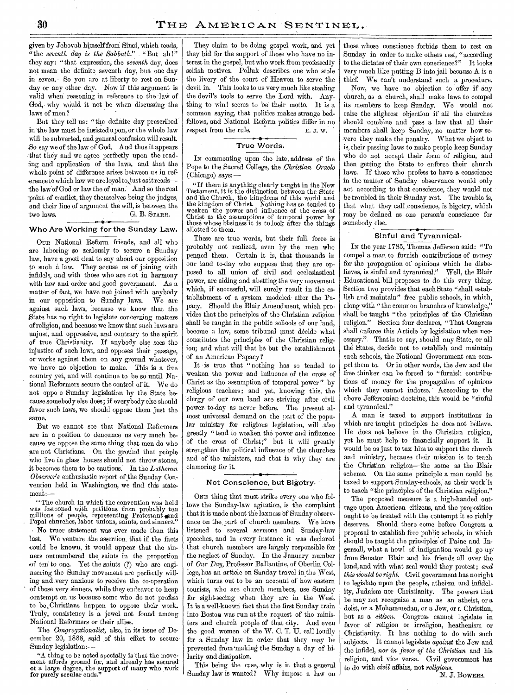given by Jehovah himself froni Sinai, which reads, "the *seventh day is the Sabbath." \_* "But all!" they say: "that expression, the *seventh* day, does not mean the definite seventh day, but one day in seven. So you are at liberty to rest on Sunday or any other day. Now if this argument is valid when reasoning in reference to the law of God,- why would it not be when discussing the laws of men ?

But they tell us: "the definite day prescribed in 'the law must be insisted upon, or the whole law will be subverted, and general confusion will result. .So say we of the law of God. And thus it appears that they and we agree perfectly upon the reading 'and application of the laws, and that the whole point of difference arises between us in ref erence to which law we are loyal to, just as it readsthe laWof God or law the of man: And so the real point of conflict, they themselves being the judges, and their line of argument the will, is between the two laws. G. B. STARR. • •

# Who Are Working for the Sunday Law.

OUR National Reform friends, and all who are laboring so zealously to secure a Sunday law, have a good deal to say about our opposition to such a law. They accuse us of joining with infidels, and with those who are not in harmony with law and order and good government. As a matter of fact, we have not joined with anybody in our opposition to Sunday laws. We are against such laws, because we know that the State has no right to legislate concerning matters of religion, and because we know that such laws are unjust, and oppressive, and contrary to the spirit of true Christianity. If anybody else sees the injustice of such laws, and opposes their passage, or works against them on any ground whatever, we have no objection to make. This is a free country yet, and will continue to be so until National Reformers secure the control of it. We do not oppo e Sunday legislation by the State because somebody else does; if everybody else should favor such laws, we should oppose them just the same.

But we cannot see that National Reformers are in a position to denounce us very much because we oppose the same thing that men do who are not Christians. On the ground that people who live in glass houses should not throw stones, it becomes them to be cautious. In the *Lutheran Observer's* enthusiastic report of the Sunday Convention held in Washington, we find this statement :—

" The church in which the convention was held was festooned with petitions from probably ten millions of people, representing Protestant and Papal churches, labor unions, saints, and sinners." • No truer statement was ever made than this last. We venture the assertion, that if the facts could be known, it would appear that the sinners outnumbered the saints in the proportion of ten to one. Yet the saints (?) who are engineering the Sunday movement arc perfectly willing and very anxious to receive the co-operation of those very sinners, while they endeavor to heap contempt on us because some who do not profess to be. Christians happen to oppose their work. Truly, consistency is a jewel not found among National Reformers or their allies.

The *Congregationalist*, also, in its issue of December 20, 1888, said of this effort to secure Sunday legislation:—

"A thing to be noted specially is that the movement affords ground for, and already has secured of a large degree, the support of many who work for purely secular ends."

They claim to be doing gospel work, and yet they bid for the support of those who have no interest in the gospel, but who work from professedly selfish motives. Polluk describes one who stole the livery of the court of Heaven to serve the devil in. This looks to us very much like stealing the devil's tools to serve the Lord with. Anything to win! seems to be their motto. It is a common saying, that politics makes strange bedfellows, and National Reform politics differ in no respect from the rule. E. J. W.

# True Words.

IN commenting upon the late, address of the Pope to the Sacred College, the *.Christian Oracle*  (Chicago) says:—

"If there is anything clearly taught in the New Testament, it is the distinction between the State and the Church, the kingdoms of this world and the kingdom of Christ. Nothing has so tended to weaken the power and influence of the cross of Christ as the assumptions of temporal power by those whose blisiness it is to Jook after the things allotted to them.

These are true words, but their full force is probably not realized, even by the men who penned them. Certain it is, that thousands in our land to-day who suppose that they are opposed to all union of civil and ecclesiastical power, are aiding and abetting the very movement which, if successful, will surely result in the establishment of a system modeled- after the Papacy. Should the Blair Amendment, which provides that the principles of the Christian religion shall be taught in the public schools of our land, become a law, some tribunal must decide what constitutes the principles of the Christian religion; and what will that be but the establishment of an American Papacy?

It is true that " nothing has so tended to weaken the power and influence of the cross of Christ as the assumption of temporal power" by religious teachers; and yet, knowing this, the clergy of our own land are striving after civil power to-day as never before. The present almost universal demand on the part of the popular ministry for religious legislation, will .also greatly "tend to weaken the power and influence of the cross of Christ;" but it will greatly strengthen the political influence of the churches and of the ministers, and that is why they are clamoring for it.

### Not Conscience, but Bigotry.

ONE thing that must strike every one who follows the Sunday-law agitation, is the complaint that it is made about the laxness of Sunday observance on the part of church members. We have listened to several sermons and Sunday-law speeches, and in every instance it was declared that church members are largely responsible for the neglect of Sunday. In the January number of Our *Day,* Professor Ballantine, of Oberlin College, has an article on Sunday travel in the West, which turns out to be an account of how eastern tourists, who are church members, use Sunday for sight-seeing when they are in the West. It is a well-known fact that the first Sunday train into Boston was run at the request of the ministers and church people of that city. And even the good women of the W. C. T. U. call loudly for a Sunday law in order that they may be prevented from making the Sunday a day of hilarity and dissipation.

This being the case, why is it that a general Sunday law is wanted? Why impose a law on

those whose conscience forbids them to rest on Sunday in order to make others rest, "according to the dictates of their own conscience?" It looks very much like putting B into jail because A is a thief. We can't understand such a procedure.

Now, we have no objection to offer if any church, as a church, shall make laws to compel its members to keep Sunday. We would not raise the slightest objection if all the churches should combine and pass a law that all their members shall keep Sunday, no matter how severe they make the penalty. What we object to is, their passing laws to make people keep Sunday who do not accept their form of religion, and then getting the State to enforce their church laws. If those who profess to have a conscience in the matter of Sunday observance would only act according to that conscience, they would not be troubled in their Sunday rest. The trouble is, that what they call conscience, is bigotry, which may be defined as one person's conscience for somebody else.

# Sinful and Tyrannical.

IN the year 1785, Thomas Jefferson said: "To compel a man to furnish contributions of money for the propagation of opinions which he disbelieves, is sinful and tyrannical." Well, the Blair Educational bill proposes to do this very thing. Section two provides that each State "shall establish and maintain" free public schools, in which, along with "the common branches of knowledge," shall be taught "the principles of the Christian religion." Section four declares, "That Congress shall enforce this Article by legislation when necessary." That is, to say, should any State, or all the States, decide not to establish and maintain such schools, the National Government can compel them to. Or in other words, the Jew and the free thinker can be forced to "furnish contributions of money for the propagation of opinions which they cannot indorse. According to the above Jefforsonian doctrine, this would be "sinful and tyrannical."

A man is taxed to support institutions in which are taught principles he does not believe. He does not believe in the Christian religion, yet he must help to financially support it. It would be as just to tax him to support the church and ministry, because their mission is to teach the Christian religion—the same as the Blair scheme. On the same principle a man could be taxed to support Sunday-schools, as their work is to teach "the principles of the Christian religion."

The proposed measure is a high-handed outrage upon American citizens, and the proposition ought to be treated with the contempt it so richly deserves. Should there come before Congress a proposal to establish free public schools, in which should be taught the principles of Paine and Ingersoll, what a howl of indignation would go up from Senator Blair and his friends all over the land, and with what zeal would they protest; *and this would be right.* Civil government has no right to legislate upon the people, atheism and infidelity, Judaism nor Christianity. The powers that be may not recognize a man as an atheist, or a deist, or a Mohammedan, or a Jew, or a Christian, but as a *citizen.* Congress cannot legislate in favor of religion or irreligion, heathenism or Christianity. It has nothing to do with such subjects. It cannot legislate *against* the Jew and the infidel, *nor in favor of the Christian* and his religion, and vice versa. Civil government has to do with *civil* affairs, not *religious.* 

N. J. BOWERS.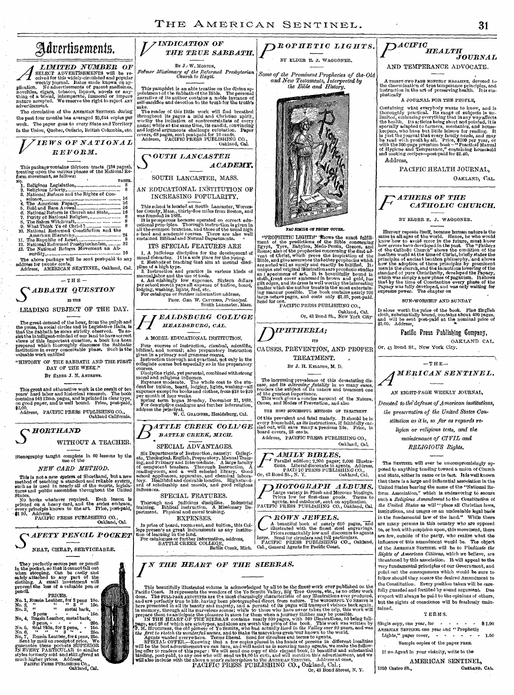THE AMERICAN SENTINEL. 31 *I/ INDICATION OF*   $P$ <sup>ROPHETIC LIGHTS.</sup> *THE TRUE SABBATH.*  BY ELDER E. J. WAGGONER. BY J.- W. MORTON, *Palmer Missionary of the Reformed Presbyterian Church to IIayti. Some of the Prominent Prophecies of the-Old and New Testaments, Interpreted by the Bible and History.*  This pamphlet is an able treatise on the divine ap-pointmen t of the Sabbath of the Bible. The personal narrative *of* its author contains a noble instance of self-sacrifice and devotion to the truth for the truth's X. sake.<br>
The reader of this little work will find breathed<br>
The predict is pages a mild and Christian spirit,<br>
worthy the initiation of controverstatists of every<br>
name; while at the same time, its eandid, convincing<br>
and lo *ACADEMY.*  SOUTH LANCASTER, MASS. AN EDUCATIONAL INSTITUTION OF INCREASING POPULARITY. This school is located at South Lancaster, Worceston by, Mass., thirty-five miles from Boston, and<br>was founded in 1882.<br>It is prosperous because operated on correct edu-<br>cational principles. Thorough instruction is given PAO SMILE OF FRONT COVER. "PROPHETIC LIGHTS" Thows the exact fulfill-<br>ment of the encolations of the Bible concerning<br>Egypt, Tyre, Babylon, Medo-Persia, Greece, and<br>Egypt, Tyre, Babylon, Medo-Persia, Greece, and<br>Rome; also of the prophecies concer ITS SPECIAL FEATURES ARE 1. A judicious discipline for the development of moral character. It is a safe place for the young.<br>
2. Methods of teaching that aim at mental discipline of a high type.<br>
pline of a high type and practice in various kinds Prof. Geo. W. CAVINESS, *Principal*.<br>
South Lancaster, Mass. Or, 43 Bond St., New York City. Oakland, Cal. *DIPHTHERIA;*  ITS CAUSES, PREVENTION, AND PROPER TREATMENT. BY *3.* H. KELLOGG, M. D. The increasing prevalence of this devastating disease, and its *alarming jatakity* in so many cases, renders the subject of its nature and treament one of the greatest importance. This work gives a concise account of the N

THE MOST SUCCESSFUL METHODS OF TREATMENT

Of this prevalent and fatal malady. It should be in every household, as its instructions, if faithfully carried out, will save many a precious life. Price, in board covers, 25 cents.

Address, PACIFIC PRESS PUBLISHING CO., Oakland, Cal.

*AMILY BIBLES.*  Parallel edition; 2,200 pages; 2,000 illustra-tions. Liberal discounts to agents. Address, PACIFIC PRESS PUBLISHING CO., Or, 43 Bond St., N. Y. Oakland, Cal.

*lIOTOGRAP11 ALBUMS.*  Large variety in Plush and Morocco bindings.<br>
Prices low for first-class goods. Terms to<br>
agents, and catalogue, sent on application.<br>
PACIFIC PRESS PUBLISHING CO., Oakland, Cal.

# *MOWN JEWELS.*

A beautiful book of nearly 650 pages, and illustrated with the finest steel encravings.<br>Prices remarkably low and discounts to agents<br>large. Send for circulars and full particulars.<br>PACIFIC PRESS PUBLISHING CO., Oakland,<br>C



This beautifully illustrated volume is acknowledged by all to be the firest work ever published on the<br>Pacific Cost. It represents the wonders of the Yo Semitto Valley, Big Tree Groves, etc., as no other work<br>does. The FU

or a *year's subscription* to the AMERICAN SERTING CO., Quartess as vice,<br>PACIFIC PRESS PUBLISHING CO., Oakland, Cal.;<br>Or, 43 Bond Street, N. Y.

 $P^{\scriptscriptstyle{ACIFIC}}_{\scriptscriptstyle{HEALTH}}$ *JOURNAL* 

### AND TEMPERANCE ADVOCATE.

A THIRTY-TWO PAGE MONTHLY MAGAZINE, devoted to the dissemination of true temperance principles, and instruction in the art of preserving health. His emphatically

A JOURNAL FOR THE PEOPLE,

Containing what everybody wants to know, and is<br>thoroughly practical. Its range of subjects is under<br>limited, embracing everything that inany way affects<br>the health. Its articles being short and pointed, it is<br>specially ad

PACIFIC HEALTH JOURNAL, OAKLAND, CAL.

# *ATTIRES OF THE CATHOLIC CHURCH.*

### BY ELDER E. J. WAGGONER.

History repeats itself, because human nature is the same in all ages of the world. Hence, he who would how how to avoid error in the future, must know how errors have developed in the past. The "Fathers of the Catholic Chu

### SUN-WORSHIP AND SUNDAY

Is alone worth the price of the book. Fine English cloth, substantially bound, contains about 400 pages, and will be sent post-paid at the nominal price *of*  \$1.00. Address,

# Pacific Press Publishing Company, OAKLAND CAL.

Or, 43 Bond St., New York City.



 $D$ evoted to the defense of American institutions, *the preservation of the United States Con-*

# *stitution as it is, so far as regards religion or religious tests, and the maintenance of CIVIL and*

*RELIGIOUS Rights.* 

The SENTINEL will ever be uncompromisingly op-posed to anything tending toward a union of Church and State, either in name or in fact. It is well known that there is a large and influential association in the United States bearing the name of the "National Reform Association," which is endeavoring to secure such a *Religious Amendment* to the *Constitution* of the *United States* as will " place all Christian laws, institutions, and usages on an undeniable legal basis in the fundamental law of the land." While there are many persons in this country who are opposed to, or look with suspicion upon, this movement, there are few, outside of the party, who realize what the influence of this amendment would be. The object of the AMERICAN SENTINEL will be to *Vindicate the Rights of American Citizens,* which we believe, are threatened by this association. It will appeal to the very fundamental principles of our Government, and point out the consequences which would be sure to follow should they secure the desired Amendment to the Constitution. Every position taken will be care-fully guarded and fortified by sound argument. Due respect will always be paid to the opinions of others, but the rights of conscience will be fearlessly maintained.

# TERMS.

Single copy, one year, for  $\cdot \cdot \cdot \cdot \cdot \cdot * 1.00$ AMERICAN SENTINEL ONE year and "Prophetic<br>Lights," paper cover,

# Sample copies of the paper FREE.

If no Agent in your vicinity, write to the

1059 Castro St.,

AMERICAN SENTINEL,

The great demand of the hour, from the pulpit and<br>the press, in social circles and in Legislative Halls, is<br>that the Sabbath be more strictly, observed. To as-<br>sixthe intelligent-minded of our land to have correct<br>views o "HISTORY OF THE SABBATH AND THE FIRST

 $-$ THE  $-$ The above package will be sent post-paid to any<br>
address for twenty cents.<br>
Address, AMERICAN SENTINEL, Oakland, Cal.<br>
-THE-<br> **SABBATH QUESTION**<br>
IS THE

IS TILE LEADING SUBJECT OF THE DAY.

Advertisements.

*LIMITED NUMBER OF* SELECT ADVERTISEMENTS will be received for this widely-circulated and popular plication. No advertisements of patent medicines,

novelties, cigars, tobacco, liquors, novels or any-thing of a trivial, intemperate, immoral or impure nature accepted. We reserve the right to reject ANY advertisement. Tho circulation of the AMERICAN SENTINEL during the past four months has averaged 25,614 copies per week. The paper goes to every State and Territory in the Union, Quebec, Ontario, British Columbia, etc.

PAGES. . Religious Legislation, 8 . Religious Liberty, 8 Con-science, 16

This package contains thirteen tracts (184 pages), treating upon the various phases of the National Reform *movement*, as follows:

*VIEWS OF NATIONAL REFORM.* 

3. National Reform and the Rights of Con-<br>
16. National Reform and the Rights of Con-<br>
16. The American Papacy,<br>
16. The American Papacy,<br>
16. National Resident and State,<br>
16. National Religion,<br>
16. The Salem Wichcraft,

DAY OF THE WEEK."

BY ELDER J. N. ANDREWS.

This great and exhaustive work is the result of ten pears hard labor and historical research. The book contains 643 12mo, pages, and is printed in clear type, on good paper, and is well bound. Price, post-paid,  $92.00$ ,  $9$ 

Address, PACIFIC PRESS PUBLISHING CO., Oakland California.



Stenography taught complete in 60 lessons by the Use of the

*NEW CARD METHOD.* 

This is not a new system of Shorthand, but a new<br>method of teaching a standard and reliable system,<br>such as is used in nearly all of the courts, legisla-<br>tures and public assemblies throughout the United<br>States.<br>No books

PACIFIC PRESS PUBLISHING CO., Oakland, Cal.

• *S AFETY PENCIL POCKET* 



They perfectly secure pen or pencil<br>in the pocket, so that is cannot full out<br>when stooping. Can be casily and<br>safely attached to any part of the<br>dothing. A small investment will perfect<br>percent the loss of a valuable pen PRICES.<br>
No. 2, Wessia Leather, for 2 pens 10c.<br>
No. 2, " ... is metal back, ... 2 pens ... ... ... 15c.

No. 4, Russia Leather, metal back,<br>
No. 5, Seal Skin, for 2 pens,  $160$ ,<br>
No. 6, Seal Skin, for 2 pens,  $-150$ ,<br>
No. 6,  $\alpha$   $\alpha$ ,  $\alpha$ ,  $\alpha$   $\beta$ ,  $\alpha$ ,  $\alpha$ ,  $\beta$ ,  $\beta$ ,  $\alpha$ ,  $\beta$ ,  $\beta$ ,  $\beta$ ,  $\beta$ ,  $\beta$ ,  $\beta$ ,  $\beta$ ,



*N THE HEART OF THE SIERRAS.*